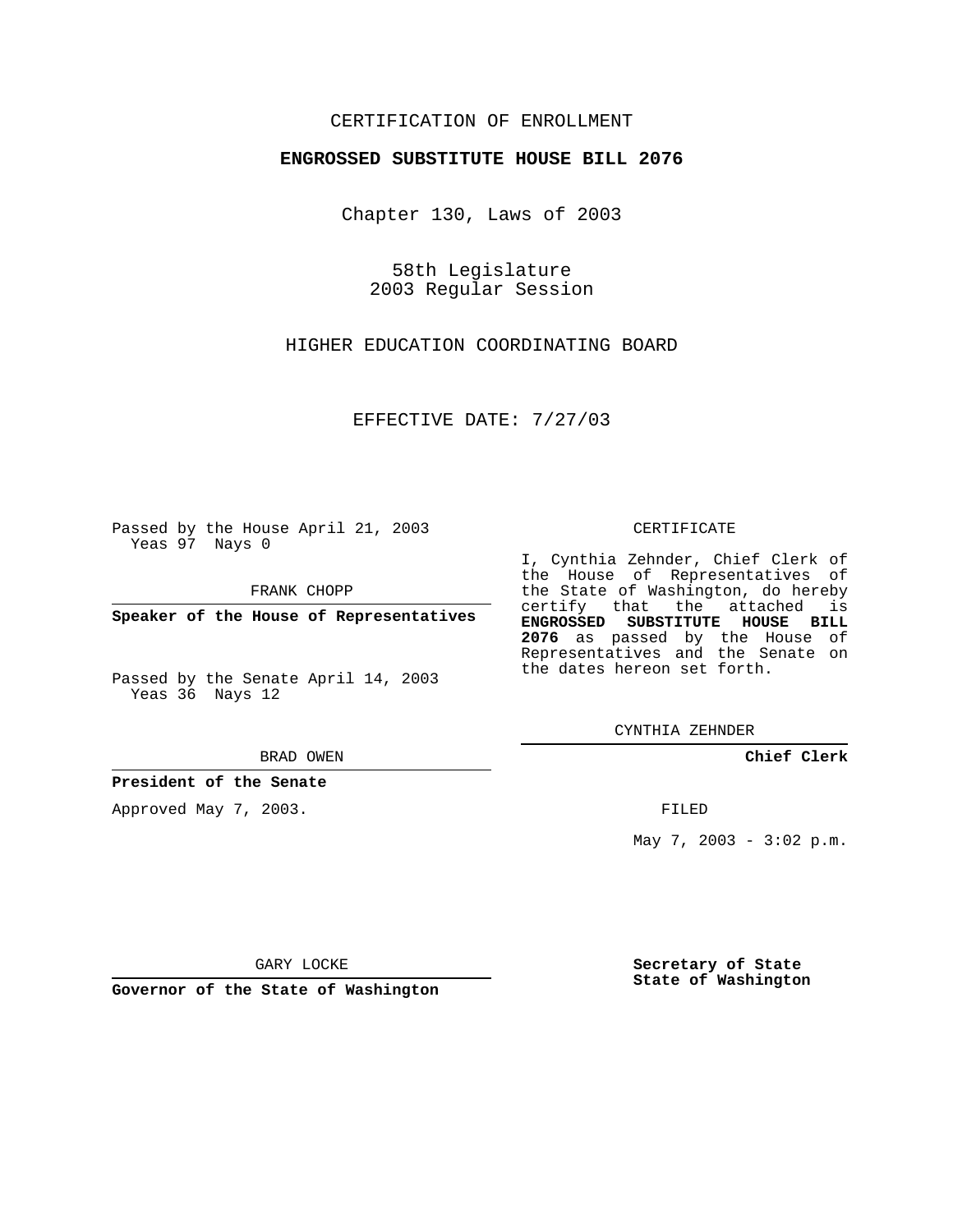# CERTIFICATION OF ENROLLMENT

### **ENGROSSED SUBSTITUTE HOUSE BILL 2076**

Chapter 130, Laws of 2003

58th Legislature 2003 Regular Session

HIGHER EDUCATION COORDINATING BOARD

EFFECTIVE DATE: 7/27/03

Passed by the House April 21, 2003 Yeas 97 Nays 0

FRANK CHOPP

**Speaker of the House of Representatives**

Passed by the Senate April 14, 2003 Yeas 36 Nays 12

#### BRAD OWEN

**President of the Senate**

Approved May 7, 2003.

#### CERTIFICATE

I, Cynthia Zehnder, Chief Clerk of the House of Representatives of the State of Washington, do hereby certify that the attached is **ENGROSSED SUBSTITUTE HOUSE BILL 2076** as passed by the House of Representatives and the Senate on the dates hereon set forth.

CYNTHIA ZEHNDER

**Chief Clerk**

FILED

May 7, 2003 -  $3:02 \text{ p.m.}$ 

GARY LOCKE

**Governor of the State of Washington**

**Secretary of State State of Washington**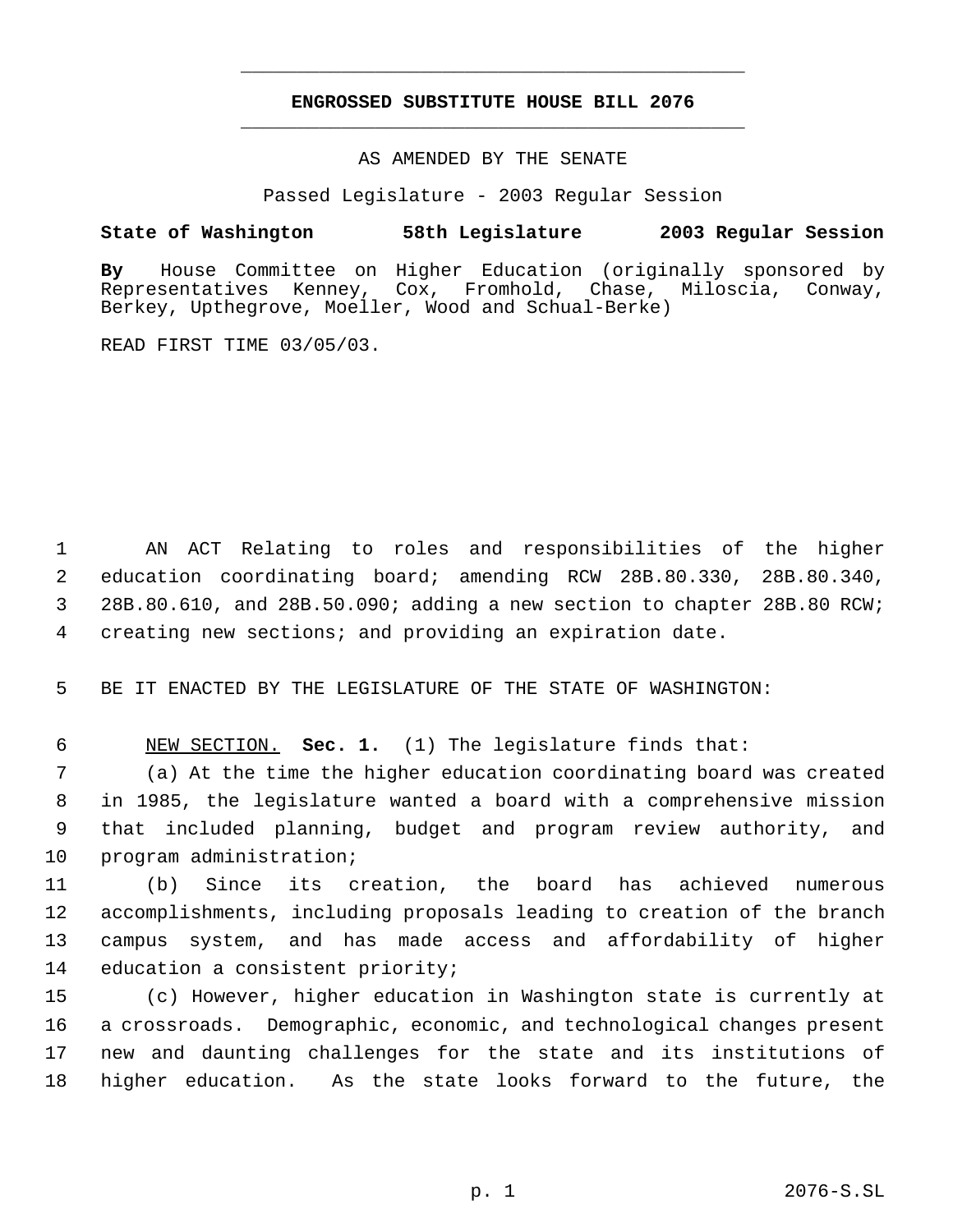# **ENGROSSED SUBSTITUTE HOUSE BILL 2076** \_\_\_\_\_\_\_\_\_\_\_\_\_\_\_\_\_\_\_\_\_\_\_\_\_\_\_\_\_\_\_\_\_\_\_\_\_\_\_\_\_\_\_\_\_

\_\_\_\_\_\_\_\_\_\_\_\_\_\_\_\_\_\_\_\_\_\_\_\_\_\_\_\_\_\_\_\_\_\_\_\_\_\_\_\_\_\_\_\_\_

AS AMENDED BY THE SENATE

Passed Legislature - 2003 Regular Session

# **State of Washington 58th Legislature 2003 Regular Session**

**By** House Committee on Higher Education (originally sponsored by Representatives Kenney, Cox, Fromhold, Chase, Miloscia, Conway, Berkey, Upthegrove, Moeller, Wood and Schual-Berke)

READ FIRST TIME 03/05/03.

 AN ACT Relating to roles and responsibilities of the higher education coordinating board; amending RCW 28B.80.330, 28B.80.340, 28B.80.610, and 28B.50.090; adding a new section to chapter 28B.80 RCW; creating new sections; and providing an expiration date.

BE IT ENACTED BY THE LEGISLATURE OF THE STATE OF WASHINGTON:

NEW SECTION. **Sec. 1.** (1) The legislature finds that:

 (a) At the time the higher education coordinating board was created in 1985, the legislature wanted a board with a comprehensive mission that included planning, budget and program review authority, and program administration;

 (b) Since its creation, the board has achieved numerous accomplishments, including proposals leading to creation of the branch campus system, and has made access and affordability of higher education a consistent priority;

 (c) However, higher education in Washington state is currently at a crossroads. Demographic, economic, and technological changes present new and daunting challenges for the state and its institutions of higher education. As the state looks forward to the future, the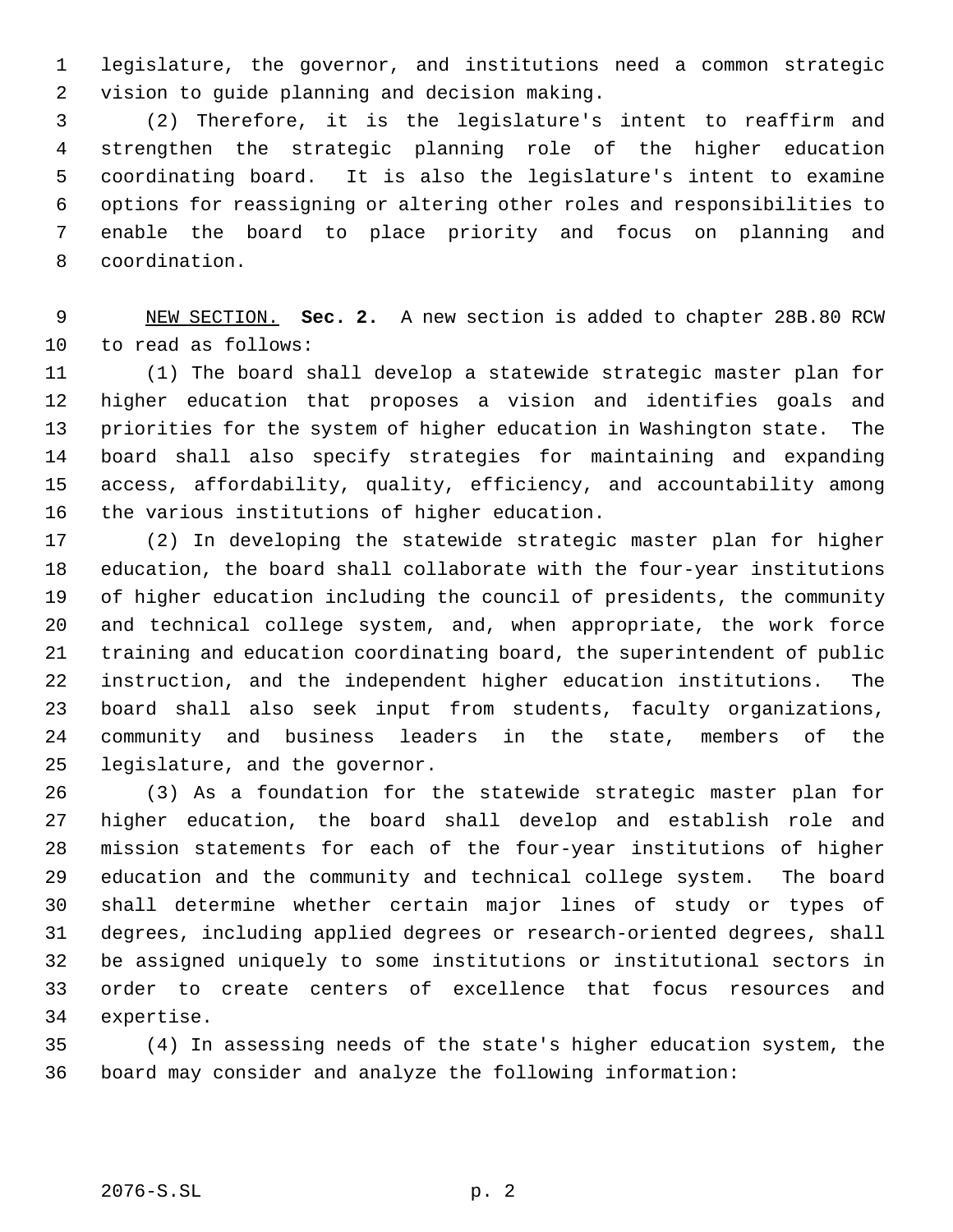legislature, the governor, and institutions need a common strategic vision to guide planning and decision making.

 (2) Therefore, it is the legislature's intent to reaffirm and strengthen the strategic planning role of the higher education coordinating board. It is also the legislature's intent to examine options for reassigning or altering other roles and responsibilities to enable the board to place priority and focus on planning and coordination.

 NEW SECTION. **Sec. 2.** A new section is added to chapter 28B.80 RCW to read as follows:

 (1) The board shall develop a statewide strategic master plan for higher education that proposes a vision and identifies goals and priorities for the system of higher education in Washington state. The board shall also specify strategies for maintaining and expanding access, affordability, quality, efficiency, and accountability among the various institutions of higher education.

 (2) In developing the statewide strategic master plan for higher education, the board shall collaborate with the four-year institutions of higher education including the council of presidents, the community and technical college system, and, when appropriate, the work force training and education coordinating board, the superintendent of public instruction, and the independent higher education institutions. The board shall also seek input from students, faculty organizations, community and business leaders in the state, members of the legislature, and the governor.

 (3) As a foundation for the statewide strategic master plan for higher education, the board shall develop and establish role and mission statements for each of the four-year institutions of higher education and the community and technical college system. The board shall determine whether certain major lines of study or types of degrees, including applied degrees or research-oriented degrees, shall be assigned uniquely to some institutions or institutional sectors in order to create centers of excellence that focus resources and expertise.

 (4) In assessing needs of the state's higher education system, the board may consider and analyze the following information: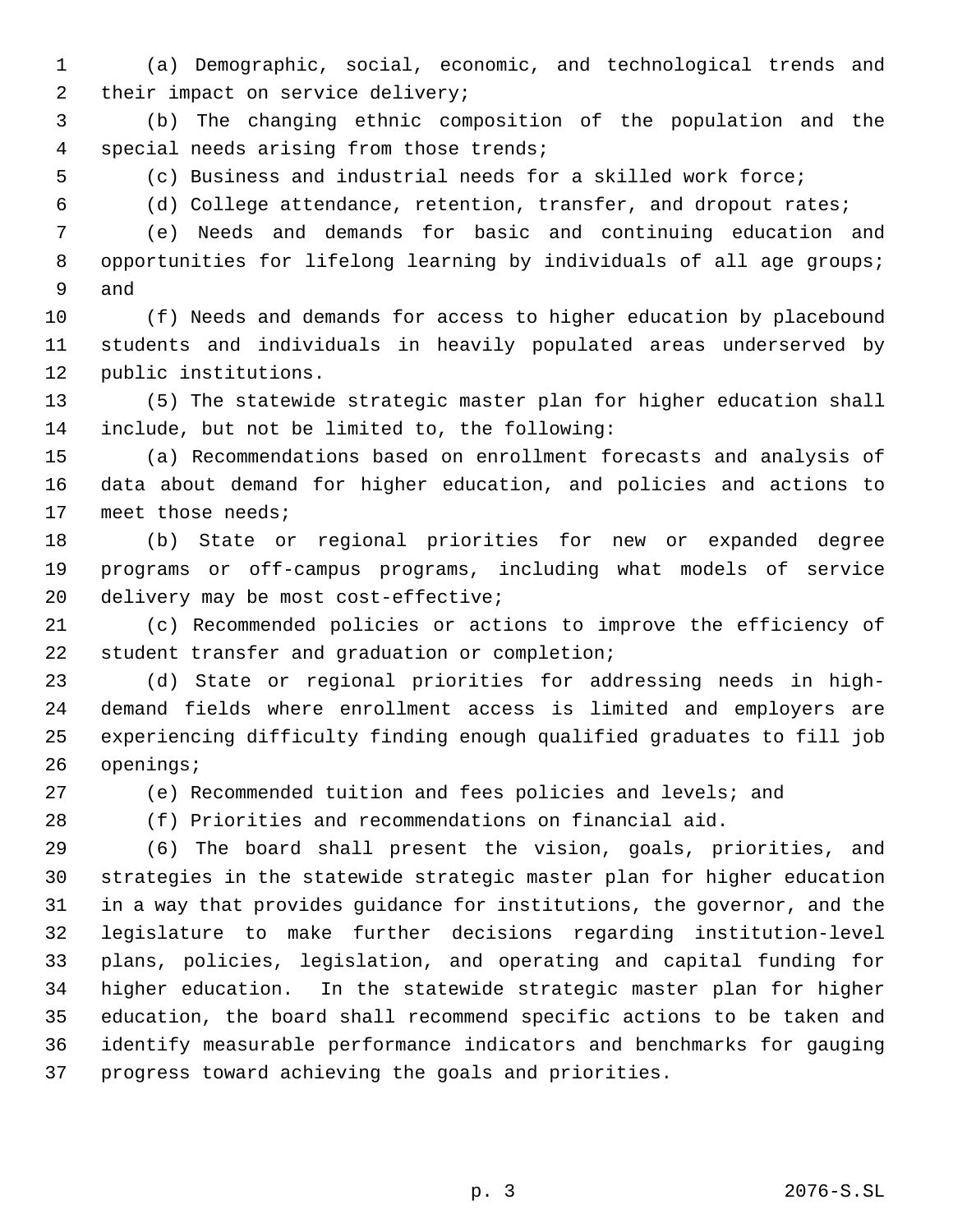(a) Demographic, social, economic, and technological trends and 2 their impact on service delivery;

 (b) The changing ethnic composition of the population and the special needs arising from those trends;

(c) Business and industrial needs for a skilled work force;

(d) College attendance, retention, transfer, and dropout rates;

 (e) Needs and demands for basic and continuing education and opportunities for lifelong learning by individuals of all age groups; and

 (f) Needs and demands for access to higher education by placebound students and individuals in heavily populated areas underserved by public institutions.

 (5) The statewide strategic master plan for higher education shall include, but not be limited to, the following:

 (a) Recommendations based on enrollment forecasts and analysis of data about demand for higher education, and policies and actions to meet those needs;

 (b) State or regional priorities for new or expanded degree programs or off-campus programs, including what models of service delivery may be most cost-effective;

 (c) Recommended policies or actions to improve the efficiency of student transfer and graduation or completion;

 (d) State or regional priorities for addressing needs in high- demand fields where enrollment access is limited and employers are experiencing difficulty finding enough qualified graduates to fill job openings;

(e) Recommended tuition and fees policies and levels; and

(f) Priorities and recommendations on financial aid.

 (6) The board shall present the vision, goals, priorities, and strategies in the statewide strategic master plan for higher education in a way that provides guidance for institutions, the governor, and the legislature to make further decisions regarding institution-level plans, policies, legislation, and operating and capital funding for higher education. In the statewide strategic master plan for higher education, the board shall recommend specific actions to be taken and identify measurable performance indicators and benchmarks for gauging progress toward achieving the goals and priorities.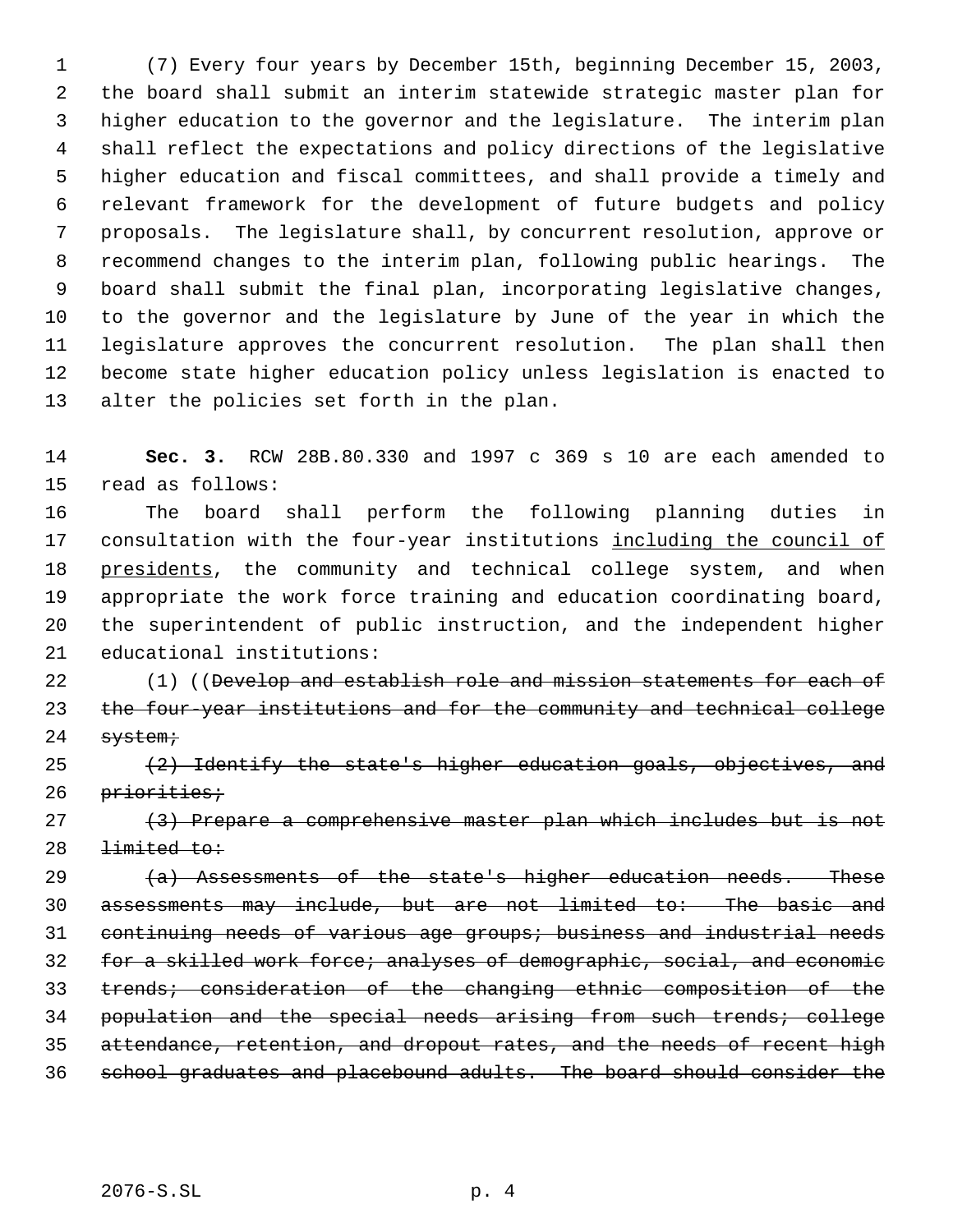(7) Every four years by December 15th, beginning December 15, 2003, the board shall submit an interim statewide strategic master plan for higher education to the governor and the legislature. The interim plan shall reflect the expectations and policy directions of the legislative higher education and fiscal committees, and shall provide a timely and relevant framework for the development of future budgets and policy proposals. The legislature shall, by concurrent resolution, approve or recommend changes to the interim plan, following public hearings. The board shall submit the final plan, incorporating legislative changes, to the governor and the legislature by June of the year in which the legislature approves the concurrent resolution. The plan shall then become state higher education policy unless legislation is enacted to alter the policies set forth in the plan.

 **Sec. 3.** RCW 28B.80.330 and 1997 c 369 s 10 are each amended to read as follows:

 The board shall perform the following planning duties in 17 consultation with the four-year institutions including the council of 18 presidents, the community and technical college system, and when appropriate the work force training and education coordinating board, the superintendent of public instruction, and the independent higher educational institutions:

22 (1) ((Develop and establish role and mission statements for each of the four-year institutions and for the community and technical college 24 system;

25  $(2)$  Identify the state's higher education goals, objectives, and 26 priorities;

 (3) Prepare a comprehensive master plan which includes but is not 28 <del>limited to:</del>

 $(a)$  Assessments of the state's higher education needs. These assessments may include, but are not limited to: The basic and continuing needs of various age groups; business and industrial needs for a skilled work force; analyses of demographic, social, and economic trends; consideration of the changing ethnic composition of the population and the special needs arising from such trends; college attendance, retention, and dropout rates, and the needs of recent high school graduates and placebound adults. The board should consider the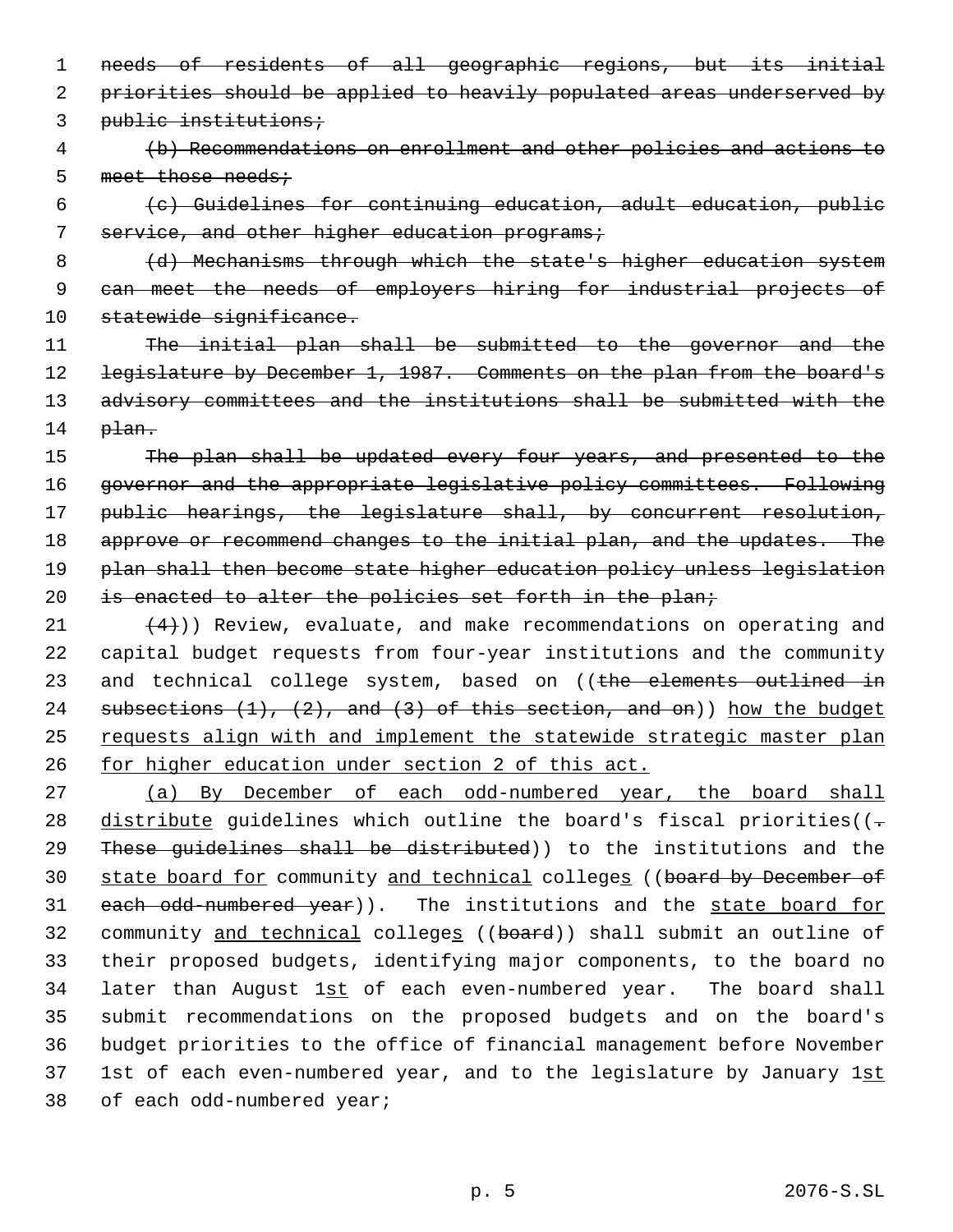1 needs of residents of all geographic regions, but its initial 2 priorities should be applied to heavily populated areas underserved by 3 public institutions;

 4 (b) Recommendations on enrollment and other policies and actions to 5 meet those needs;

 6 (c) Guidelines for continuing education, adult education, public 7 service, and other higher education programs;

8 (d) Mechanisms through which the state's higher education system 9 can meet the needs of employers hiring for industrial projects of 10 statewide significance.

11 The initial plan shall be submitted to the governor and the 12 legislature by December 1, 1987. Comments on the plan from the board's 13 advisory committees and the institutions shall be submitted with the 14 plan.

15 The plan shall be updated every four years, and presented to the 16 governor and the appropriate legislative policy committees. Following 17 public hearings, the legislature shall, by concurrent resolution, 18 approve or recommend changes to the initial plan, and the updates. The 19 plan shall then become state higher education policy unless legislation 20 is enacted to alter the policies set forth in the plan;

21  $(4)$ )) Review, evaluate, and make recommendations on operating and 22 capital budget requests from four-year institutions and the community 23 and technical college system, based on ((the elements outlined in 24 subsections  $(1)$ ,  $(2)$ , and  $(3)$  of this section, and on)) how the budget 25 requests align with and implement the statewide strategic master plan 26 for higher education under section 2 of this act.

27 (a) By December of each odd-numbered year, the board shall 28 distribute guidelines which outline the board's fiscal priorities( $(-$ 29 These quidelines shall be distributed)) to the institutions and the 30 state board for community and technical colleges ((board by December of 31 each odd-numbered year)). The institutions and the state board for 32 community and technical colleges ((board)) shall submit an outline of 33 their proposed budgets, identifying major components, to the board no 34 later than August 1st of each even-numbered year. The board shall 35 submit recommendations on the proposed budgets and on the board's 36 budget priorities to the office of financial management before November 37 1st of each even-numbered year, and to the legislature by January 1st 38 of each odd-numbered year;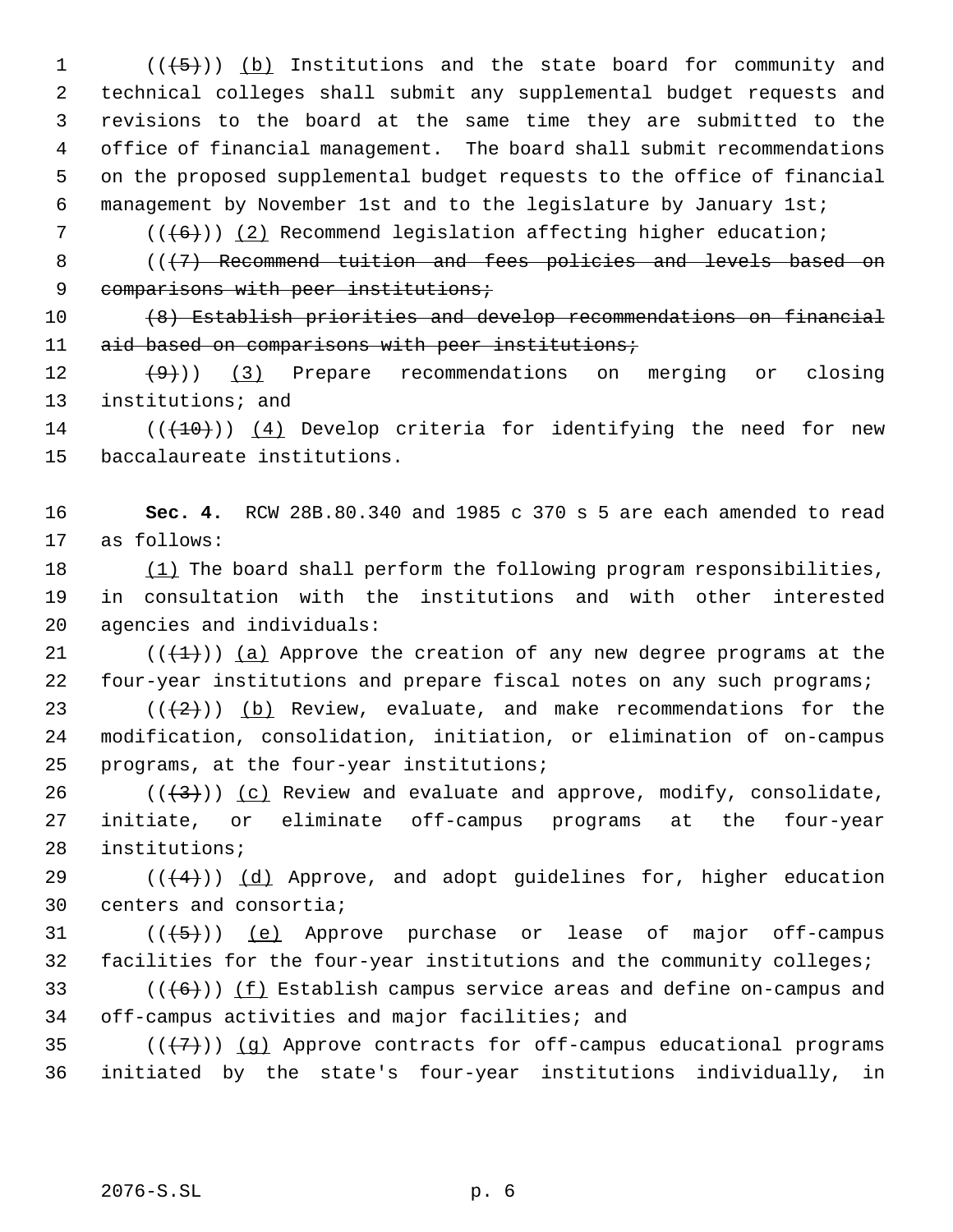$((+5))$  (b) Institutions and the state board for community and technical colleges shall submit any supplemental budget requests and revisions to the board at the same time they are submitted to the office of financial management. The board shall submit recommendations on the proposed supplemental budget requests to the office of financial management by November 1st and to the legislature by January 1st;

7  $((\{6\})$  (2) Recommend legislation affecting higher education;

8 (( $\{7\}$  Recommend tuition and fees policies and levels based on 9 comparisons with peer institutions;

10 (8) Establish priorities and develop recommendations on financial 11 aid based on comparisons with peer institutions;

 $(12 \t (+9))$  (3) Prepare recommendations on merging or closing 13 institutions; and

14 ( $(\overline{(40)})$ ) (4) Develop criteria for identifying the need for new 15 baccalaureate institutions.

16 **Sec. 4.** RCW 28B.80.340 and 1985 c 370 s 5 are each amended to read 17 as follows:

18 (1) The board shall perform the following program responsibilities, 19 in consultation with the institutions and with other interested 20 agencies and individuals:

21 ( $(\overline{+1})$ ) (a) Approve the creation of any new degree programs at the 22 four-year institutions and prepare fiscal notes on any such programs;

23  $((+2))$  (b) Review, evaluate, and make recommendations for the 24 modification, consolidation, initiation, or elimination of on-campus 25 programs, at the four-year institutions;

26 ( $(\langle 3 \rangle)$ ) (c) Review and evaluate and approve, modify, consolidate, 27 initiate, or eliminate off-campus programs at the four-year 28 institutions;

29  $((+4))$   $(d)$  Approve, and adopt guidelines for, higher education 30 centers and consortia;

 $31$  ( $(\overline{(+5)})$ ) (e) Approve purchase or lease of major off-campus 32 facilities for the four-year institutions and the community colleges;

33 ( $(\overline{6})$ ) (f) Establish campus service areas and define on-campus and 34 off-campus activities and major facilities; and

35  $((+7)$ ) (q) Approve contracts for off-campus educational programs 36 initiated by the state's four-year institutions individually, in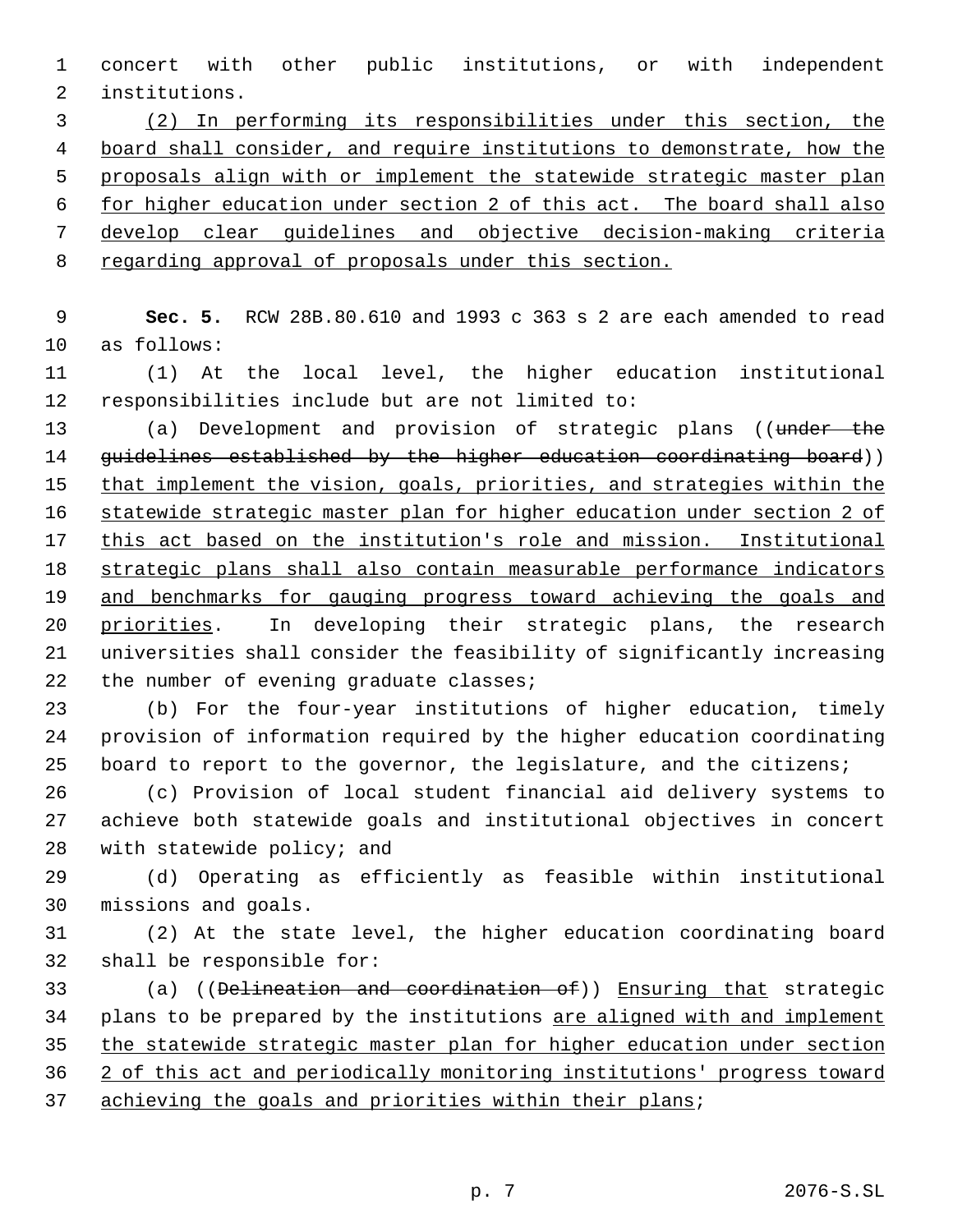concert with other public institutions, or with independent institutions.

 (2) In performing its responsibilities under this section, the board shall consider, and require institutions to demonstrate, how the proposals align with or implement the statewide strategic master plan for higher education under section 2 of this act. The board shall also develop clear guidelines and objective decision-making criteria regarding approval of proposals under this section.

 **Sec. 5.** RCW 28B.80.610 and 1993 c 363 s 2 are each amended to read as follows:

 (1) At the local level, the higher education institutional responsibilities include but are not limited to:

13 (a) Development and provision of strategic plans ((under the 14 guidelines established by the higher education coordinating board)) 15 that implement the vision, goals, priorities, and strategies within the statewide strategic master plan for higher education under section 2 of this act based on the institution's role and mission. Institutional strategic plans shall also contain measurable performance indicators 19 and benchmarks for gauging progress toward achieving the goals and priorities. In developing their strategic plans, the research universities shall consider the feasibility of significantly increasing 22 the number of evening graduate classes;

 (b) For the four-year institutions of higher education, timely provision of information required by the higher education coordinating board to report to the governor, the legislature, and the citizens;

 (c) Provision of local student financial aid delivery systems to achieve both statewide goals and institutional objectives in concert with statewide policy; and

 (d) Operating as efficiently as feasible within institutional missions and goals.

 (2) At the state level, the higher education coordinating board shall be responsible for:

 (a) ((Delineation and coordination of)) Ensuring that strategic 34 plans to be prepared by the institutions are aligned with and implement the statewide strategic master plan for higher education under section 2 of this act and periodically monitoring institutions' progress toward 37 achieving the goals and priorities within their plans;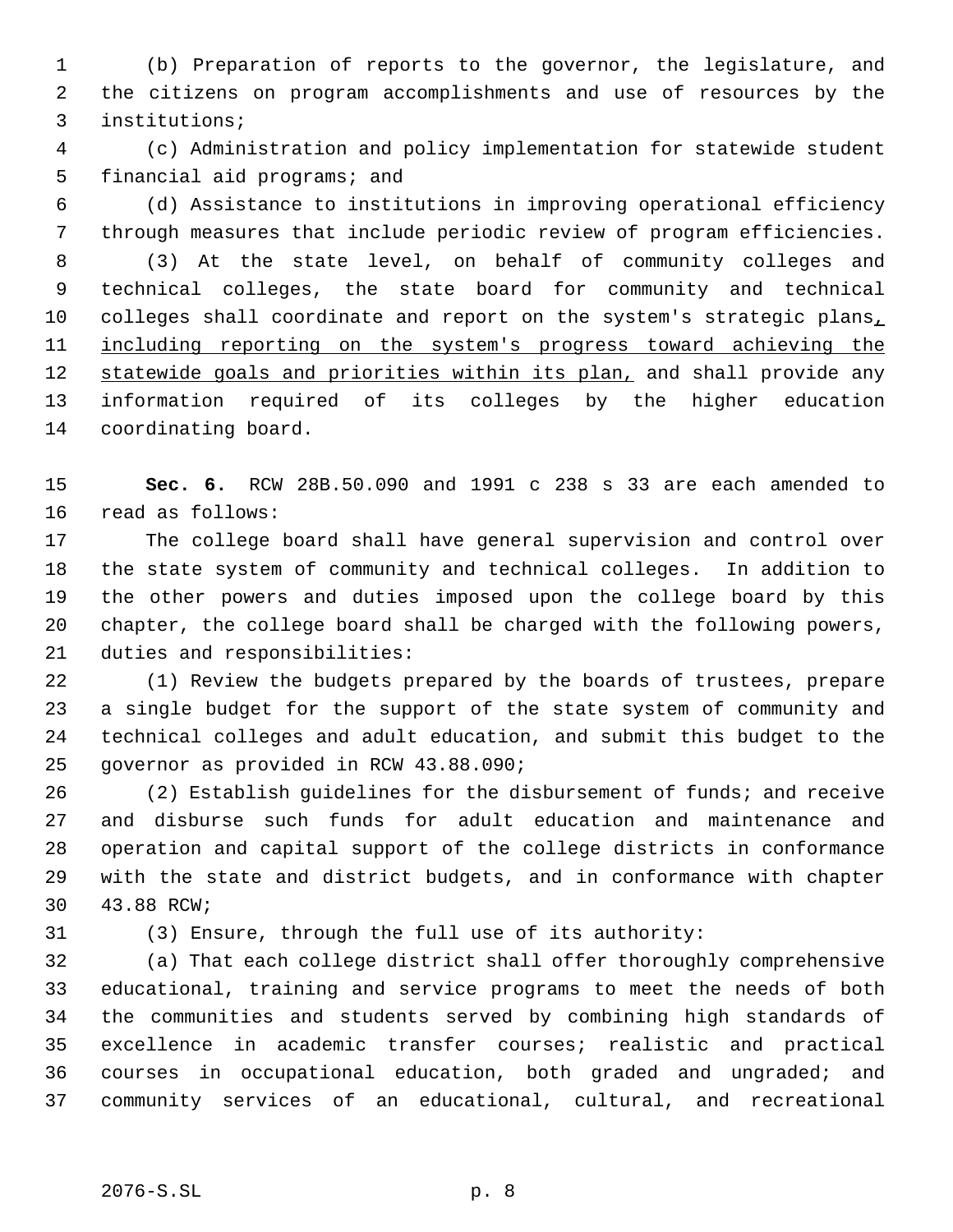(b) Preparation of reports to the governor, the legislature, and the citizens on program accomplishments and use of resources by the institutions;

 (c) Administration and policy implementation for statewide student financial aid programs; and

 (d) Assistance to institutions in improving operational efficiency through measures that include periodic review of program efficiencies.

 (3) At the state level, on behalf of community colleges and technical colleges, the state board for community and technical 10 colleges shall coordinate and report on the system's strategic plans, 11 including reporting on the system's progress toward achieving the 12 statewide goals and priorities within its plan, and shall provide any information required of its colleges by the higher education coordinating board.

 **Sec. 6.** RCW 28B.50.090 and 1991 c 238 s 33 are each amended to read as follows:

 The college board shall have general supervision and control over the state system of community and technical colleges. In addition to the other powers and duties imposed upon the college board by this chapter, the college board shall be charged with the following powers, duties and responsibilities:

 (1) Review the budgets prepared by the boards of trustees, prepare a single budget for the support of the state system of community and technical colleges and adult education, and submit this budget to the governor as provided in RCW 43.88.090;

 (2) Establish guidelines for the disbursement of funds; and receive and disburse such funds for adult education and maintenance and operation and capital support of the college districts in conformance with the state and district budgets, and in conformance with chapter 43.88 RCW;

(3) Ensure, through the full use of its authority:

 (a) That each college district shall offer thoroughly comprehensive educational, training and service programs to meet the needs of both the communities and students served by combining high standards of excellence in academic transfer courses; realistic and practical courses in occupational education, both graded and ungraded; and community services of an educational, cultural, and recreational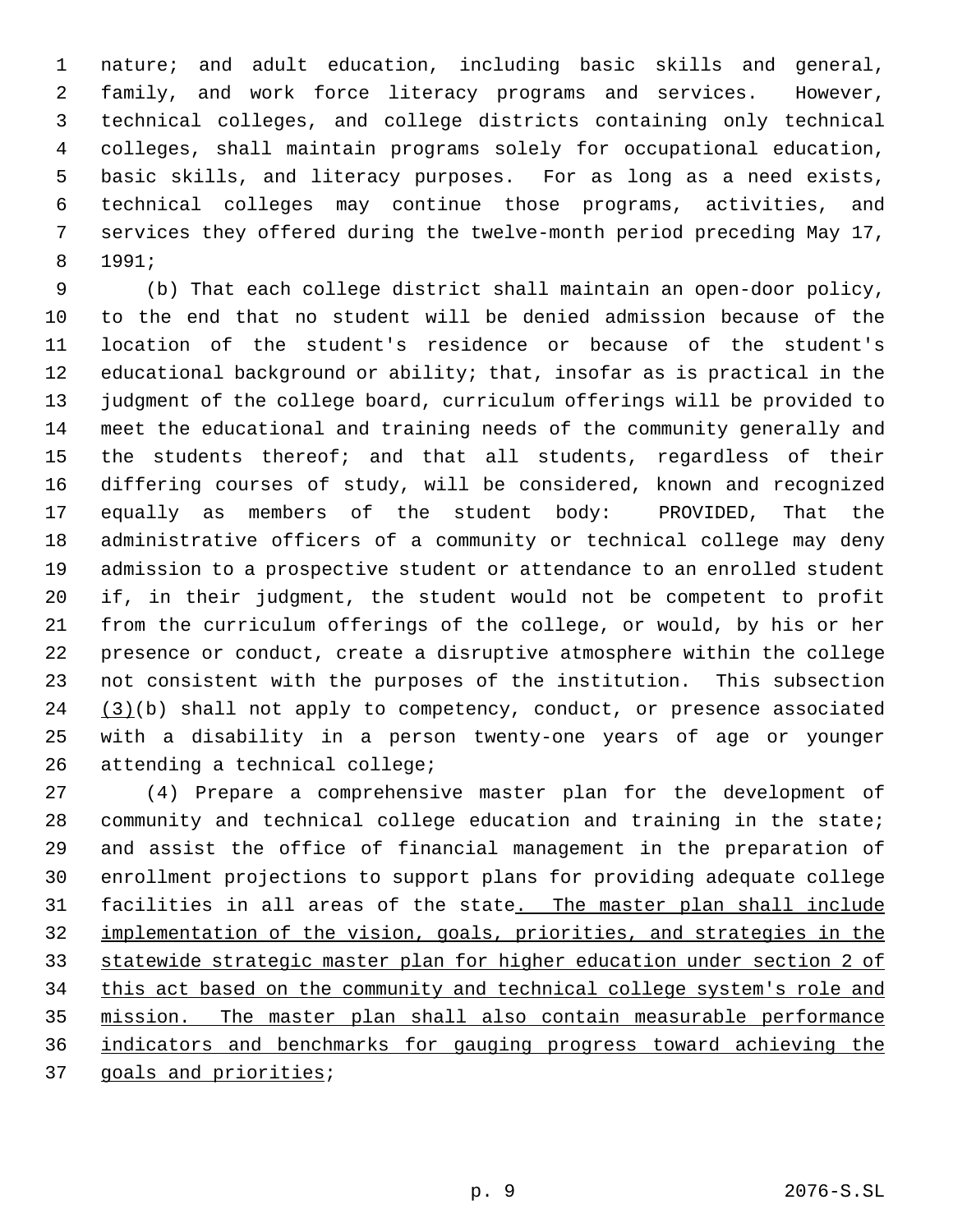nature; and adult education, including basic skills and general, family, and work force literacy programs and services. However, technical colleges, and college districts containing only technical colleges, shall maintain programs solely for occupational education, basic skills, and literacy purposes. For as long as a need exists, technical colleges may continue those programs, activities, and services they offered during the twelve-month period preceding May 17, 1991;

 (b) That each college district shall maintain an open-door policy, to the end that no student will be denied admission because of the location of the student's residence or because of the student's educational background or ability; that, insofar as is practical in the judgment of the college board, curriculum offerings will be provided to meet the educational and training needs of the community generally and the students thereof; and that all students, regardless of their differing courses of study, will be considered, known and recognized equally as members of the student body: PROVIDED, That the administrative officers of a community or technical college may deny admission to a prospective student or attendance to an enrolled student if, in their judgment, the student would not be competent to profit from the curriculum offerings of the college, or would, by his or her presence or conduct, create a disruptive atmosphere within the college not consistent with the purposes of the institution. This subsection  $(3)(b)$  shall not apply to competency, conduct, or presence associated with a disability in a person twenty-one years of age or younger attending a technical college;

 (4) Prepare a comprehensive master plan for the development of community and technical college education and training in the state; and assist the office of financial management in the preparation of enrollment projections to support plans for providing adequate college facilities in all areas of the state. The master plan shall include implementation of the vision, goals, priorities, and strategies in the statewide strategic master plan for higher education under section 2 of 34 this act based on the community and technical college system's role and mission. The master plan shall also contain measurable performance indicators and benchmarks for gauging progress toward achieving the goals and priorities;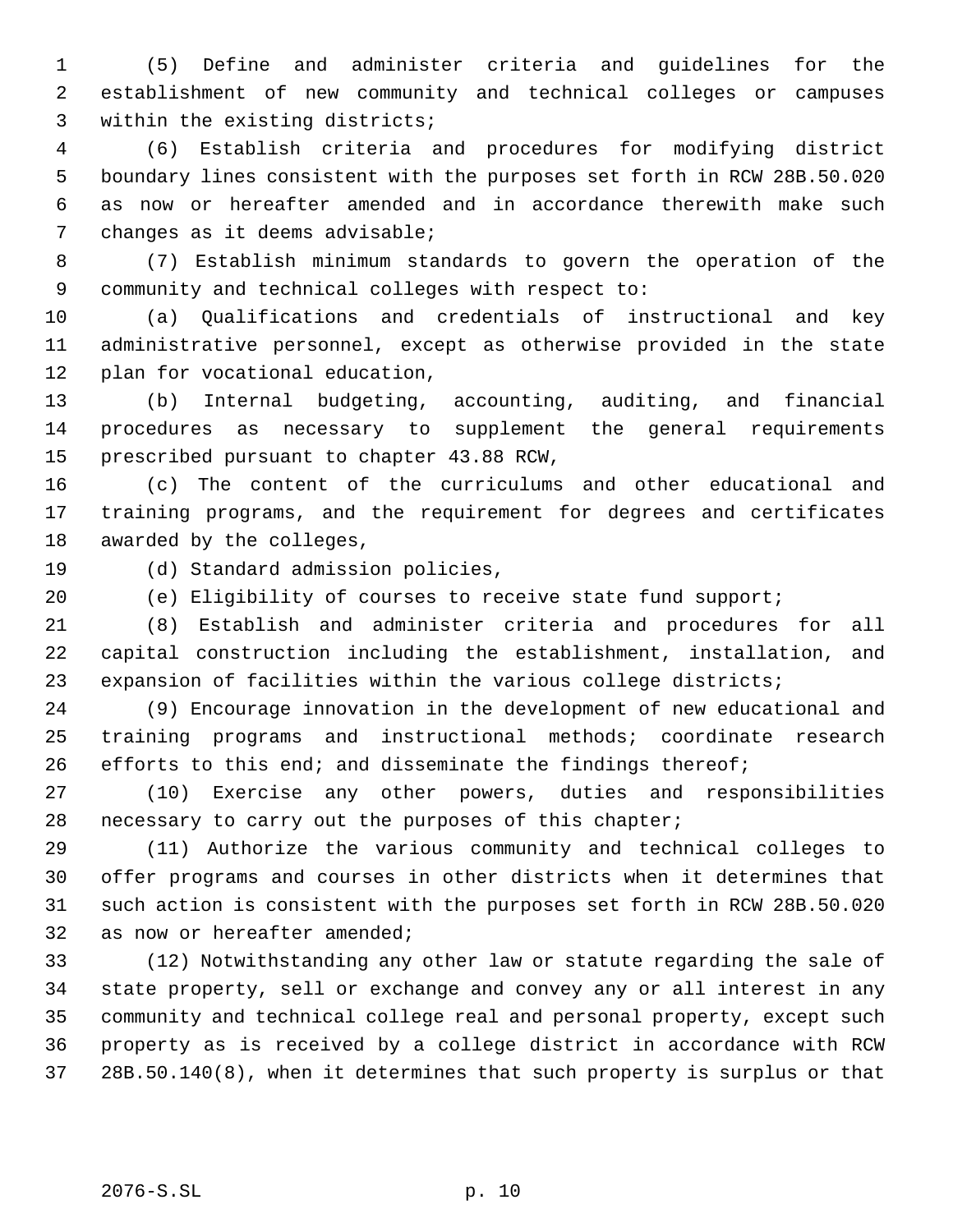(5) Define and administer criteria and guidelines for the establishment of new community and technical colleges or campuses within the existing districts;

 (6) Establish criteria and procedures for modifying district boundary lines consistent with the purposes set forth in RCW 28B.50.020 as now or hereafter amended and in accordance therewith make such changes as it deems advisable;

 (7) Establish minimum standards to govern the operation of the community and technical colleges with respect to:

 (a) Qualifications and credentials of instructional and key administrative personnel, except as otherwise provided in the state plan for vocational education,

 (b) Internal budgeting, accounting, auditing, and financial procedures as necessary to supplement the general requirements prescribed pursuant to chapter 43.88 RCW,

 (c) The content of the curriculums and other educational and training programs, and the requirement for degrees and certificates awarded by the colleges,

(d) Standard admission policies,

(e) Eligibility of courses to receive state fund support;

 (8) Establish and administer criteria and procedures for all capital construction including the establishment, installation, and expansion of facilities within the various college districts;

 (9) Encourage innovation in the development of new educational and training programs and instructional methods; coordinate research 26 efforts to this end; and disseminate the findings thereof;

 (10) Exercise any other powers, duties and responsibilities necessary to carry out the purposes of this chapter;

 (11) Authorize the various community and technical colleges to offer programs and courses in other districts when it determines that such action is consistent with the purposes set forth in RCW 28B.50.020 as now or hereafter amended;

 (12) Notwithstanding any other law or statute regarding the sale of state property, sell or exchange and convey any or all interest in any community and technical college real and personal property, except such property as is received by a college district in accordance with RCW 28B.50.140(8), when it determines that such property is surplus or that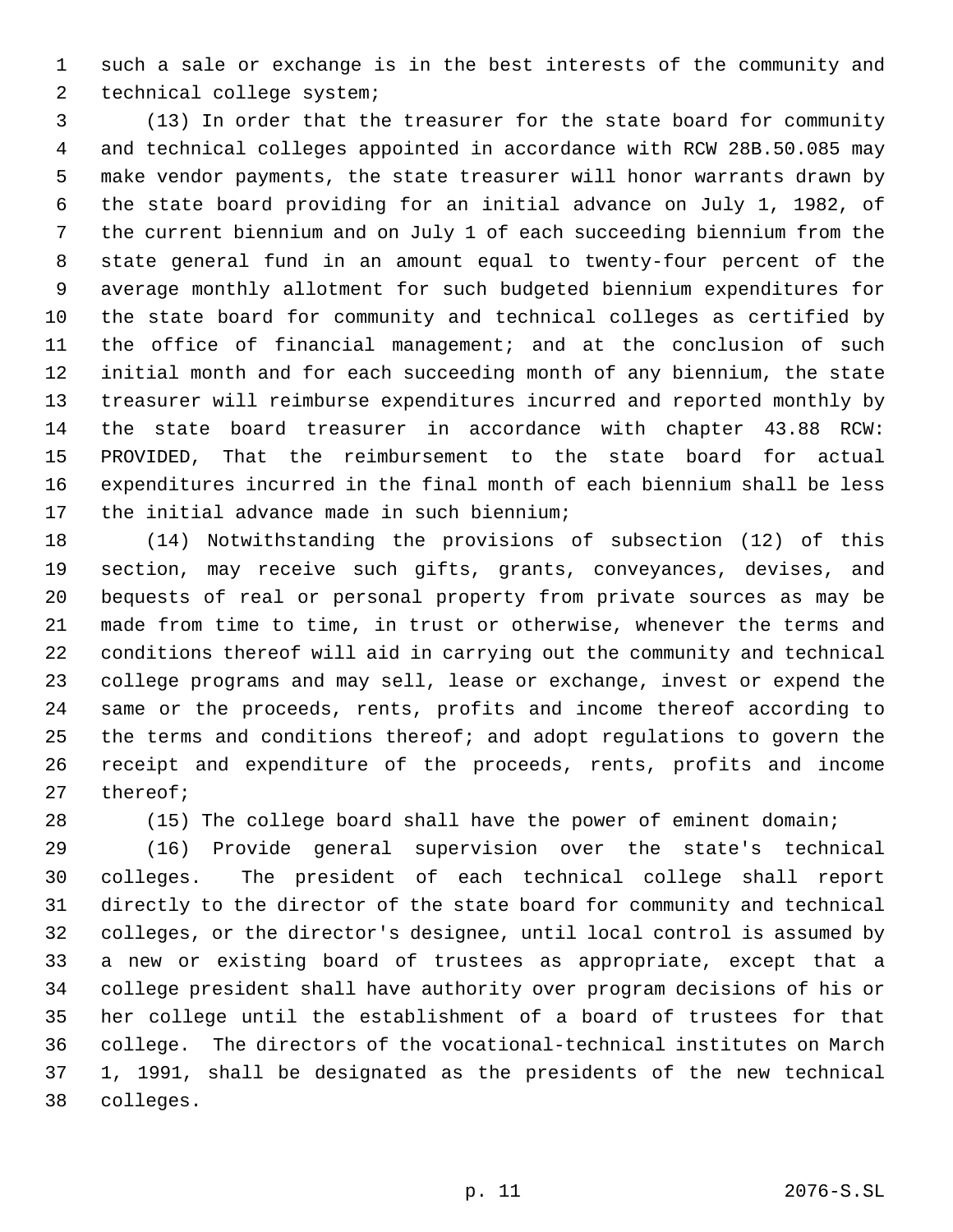such a sale or exchange is in the best interests of the community and technical college system;

 (13) In order that the treasurer for the state board for community and technical colleges appointed in accordance with RCW 28B.50.085 may make vendor payments, the state treasurer will honor warrants drawn by the state board providing for an initial advance on July 1, 1982, of the current biennium and on July 1 of each succeeding biennium from the state general fund in an amount equal to twenty-four percent of the average monthly allotment for such budgeted biennium expenditures for the state board for community and technical colleges as certified by the office of financial management; and at the conclusion of such initial month and for each succeeding month of any biennium, the state treasurer will reimburse expenditures incurred and reported monthly by the state board treasurer in accordance with chapter 43.88 RCW: PROVIDED, That the reimbursement to the state board for actual expenditures incurred in the final month of each biennium shall be less the initial advance made in such biennium;

 (14) Notwithstanding the provisions of subsection (12) of this section, may receive such gifts, grants, conveyances, devises, and bequests of real or personal property from private sources as may be made from time to time, in trust or otherwise, whenever the terms and conditions thereof will aid in carrying out the community and technical college programs and may sell, lease or exchange, invest or expend the same or the proceeds, rents, profits and income thereof according to the terms and conditions thereof; and adopt regulations to govern the receipt and expenditure of the proceeds, rents, profits and income thereof;

(15) The college board shall have the power of eminent domain;

 (16) Provide general supervision over the state's technical colleges. The president of each technical college shall report directly to the director of the state board for community and technical colleges, or the director's designee, until local control is assumed by a new or existing board of trustees as appropriate, except that a college president shall have authority over program decisions of his or her college until the establishment of a board of trustees for that college. The directors of the vocational-technical institutes on March 1, 1991, shall be designated as the presidents of the new technical colleges.